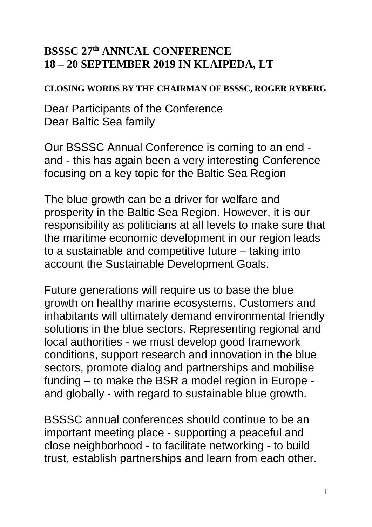## **BSSSC 27th ANNUAL CONFERENCE 18 – 20 SEPTEMBER 2019 IN KLAIPEDA, LT**

## **CLOSING WORDS BY THE CHAIRMAN OF BSSSC, ROGER RYBERG**

Dear Participants of the Conference Dear Baltic Sea family

Our BSSSC Annual Conference is coming to an end and - this has again been a very interesting Conference focusing on a key topic for the Baltic Sea Region

The blue growth can be a driver for welfare and prosperity in the Baltic Sea Region. However, it is our responsibility as politicians at all levels to make sure that the maritime economic development in our region leads to a sustainable and competitive future – taking into account the Sustainable Development Goals.

Future generations will require us to base the blue growth on healthy marine ecosystems. Customers and inhabitants will ultimately demand environmental friendly solutions in the blue sectors. Representing regional and local authorities - we must develop good framework conditions, support research and innovation in the blue sectors, promote dialog and partnerships and mobilise funding – to make the BSR a model region in Europe and globally - with regard to sustainable blue growth.

BSSSC annual conferences should continue to be an important meeting place - supporting a peaceful and close neighborhood - to facilitate networking - to build trust, establish partnerships and learn from each other.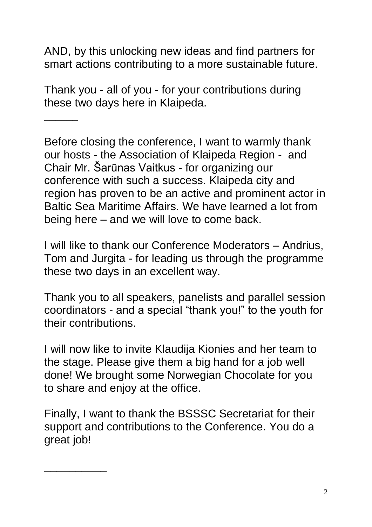AND, by this unlocking new ideas and find partners for smart actions contributing to a more sustainable future.

Thank you - all of you - for your contributions during these two days here in Klaipeda.

\_\_\_\_\_\_

\_\_\_\_\_\_\_\_\_\_

Before closing the conference, I want to warmly thank our hosts - the Association of Klaipeda Region - and Chair Mr. Šarūnas Vaitkus - for organizing our conference with such a success. Klaipeda city and region has proven to be an active and prominent actor in Baltic Sea Maritime Affairs. We have learned a lot from being here – and we will love to come back.

I will like to thank our Conference Moderators – Andrius, Tom and Jurgita - for leading us through the programme these two days in an excellent way.

Thank you to all speakers, panelists and parallel session coordinators - and a special "thank you!" to the youth for their contributions.

I will now like to invite Klaudija Kionies and her team to the stage. Please give them a big hand for a job well done! We brought some Norwegian Chocolate for you to share and enjoy at the office.

Finally, I want to thank the BSSSC Secretariat for their support and contributions to the Conference. You do a great job!